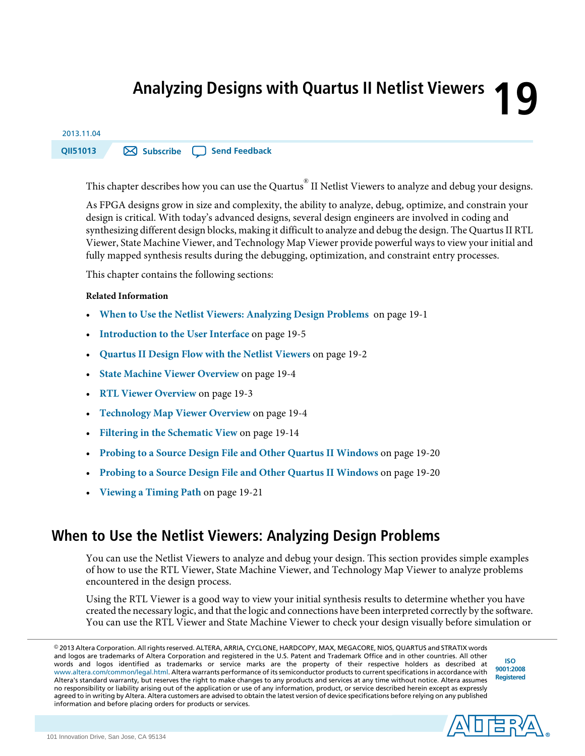# **19 Analyzing Designs with Quartus II Netlist Viewers**

# 2013.11.04

**QII51013 [Subscribe](https://www.altera.com/servlets/subscriptions/alert?id=QII51013) Send [Feedback](mailto:TechDocFeedback@altera.com?subject=Feedback%20on%20(QII51013%202013.11.04)%20Analyzing%20Designs%20with%20Quartus%20%C2%A0II%20Netlist%20Viewers&body=We%20appreciate%20your%20feedback.%20In%20your%20comments,%20also%20specify%20the%20page%20number%20or%20paragraph.%20Thank%20you.)**

This chapter describes how you can use the Quartus® II Netlist Viewers to analyze and debug your designs.

As FPGA designs grow in size and complexity, the ability to analyze, debug, optimize, and constrain your design is critical. With today's advanced designs, several design engineers are involved in coding and synthesizing different design blocks, making it difficult to analyze and debug the design. The Quartus II RTL Viewer, State Machine Viewer, and Technology Map Viewer provide powerful ways to view your initial and fully mapped synthesis results during the debugging, optimization, and constraint entry processes.

This chapter contains the following sections:

#### **Related Information**

- **When to Use the Netlist Viewers: [Analyzing](#page-0-0) Design Problems** on page 19-1
- **[Introduction](#page-4-0) to the User Interface** on page 19-5
- **[Quartus](#page-1-0) II Design Flow with the Netlist Viewers** on page 19-2
- **State Machine Viewer [Overview](#page-3-0)** on page 19-4
- **RTL Viewer [Overview](#page-2-0)** on page 19-3
- **[Technology](#page-3-1) Map Viewer Overview** on page 19-4
- **Filtering in the [Schematic](#page-13-0) View** on page 19-14
- **Probing to a Source Design File and Other Quartus II [Windows](#page-19-0)** on page 19-20
- <span id="page-0-0"></span>• **Probing to a Source Design File and Other Quartus II [Windows](#page-19-0)** on page 19-20
- **[Viewing](#page-20-0) a Timing Path** on page 19-21

# **When to Use the Netlist Viewers: Analyzing Design Problems**

You can use the Netlist Viewers to analyze and debug your design. This section provides simple examples of how to use the RTL Viewer, State Machine Viewer, and Technology Map Viewer to analyze problems encountered in the design process.

Using the RTL Viewer is a good way to view your initial synthesis results to determine whether you have created the necessary logic, and that the logic and connections have been interpreted correctly by the software. You can use the RTL Viewer and State Machine Viewer to check your design visually before simulation or

© 2013 Altera Corporation. All rights reserved. ALTERA, ARRIA, CYCLONE, HARDCOPY, MAX, MEGACORE, NIOS, QUARTUS and STRATIX words and logos are trademarks of Altera Corporation and registered in the U.S. Patent and Trademark Office and in other countries. All other words and logos identified as trademarks or service marks are the property of their respective holders as described at www.altera.com/common/legal.html. Altera warrants performance of its semiconductor products to current specifications in accordance with Altera's standard warranty, but reserves the right to make changes to any products and services at any time without notice. Altera assumes no responsibility or liability arising out of the application or use of any information, product, or service described herein except as expressly agreed to in writing by Altera. Altera customers are advised to obtain the latest version of device specifications before relying on any published information and before placing orders for products or services.

**[ISO](http://www.altera.com/support/devices/reliability/certifications/rel-certifications.html) [9001:2008](http://www.altera.com/support/devices/reliability/certifications/rel-certifications.html) [Registered](http://www.altera.com/support/devices/reliability/certifications/rel-certifications.html)**

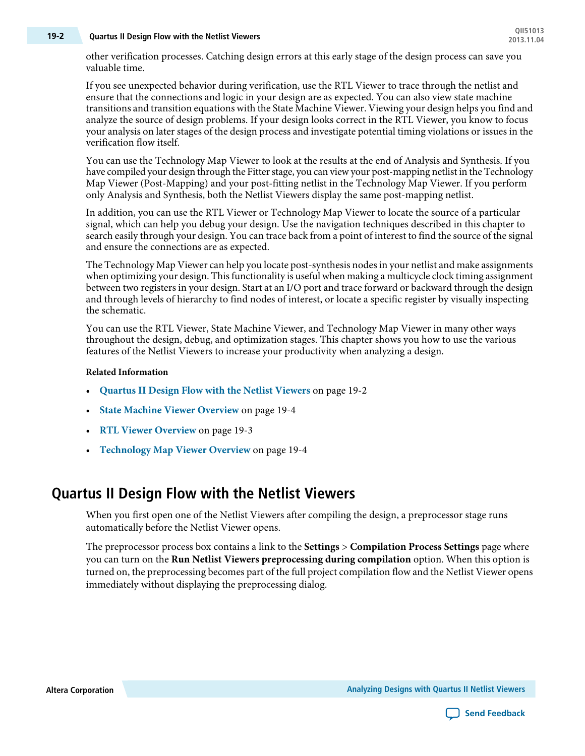# **QII51013 19-2 Quartus II Design Flow with the Netlist Viewers 2013.11.04**

other verification processes. Catching design errors at this early stage of the design process can save you valuable time.

If you see unexpected behavior during verification, use the RTL Viewer to trace through the netlist and ensure that the connections and logic in your design are as expected. You can also view state machine transitions and transition equations with the State Machine Viewer. Viewing your design helps you find and analyze the source of design problems. If your design looks correct in the RTL Viewer, you know to focus your analysis on later stages of the design process and investigate potential timing violations or issues in the verification flow itself.

You can use the Technology Map Viewer to look at the results at the end of Analysis and Synthesis. If you have compiled your design through the Fitter stage, you can view your post-mapping netlist in the Technology Map Viewer (Post-Mapping) and your post-fitting netlist in the Technology Map Viewer. If you perform only Analysis and Synthesis, both the Netlist Viewers display the same post-mapping netlist.

In addition, you can use the RTL Viewer or Technology Map Viewer to locate the source of a particular signal, which can help you debug your design. Use the navigation techniques described in this chapter to search easily through your design. You can trace back from a point of interest to find the source of the signal and ensure the connections are as expected.

The Technology Map Viewer can help you locate post-synthesis nodesin your netlist and make assignments when optimizing your design. This functionality is useful when making a multicycle clock timing assignment between two registers in your design. Start at an I/O port and trace forward or backward through the design and through levels of hierarchy to find nodes of interest, or locate a specific register by visually inspecting the schematic.

You can use the RTL Viewer, State Machine Viewer, and Technology Map Viewer in many other ways throughout the design, debug, and optimization stages. This chapter shows you how to use the various features of the Netlist Viewers to increase your productivity when analyzing a design.

#### **Related Information**

- **[Quartus](#page-1-0) II Design Flow with the Netlist Viewers** on page 19-2
- **State Machine Viewer [Overview](#page-3-0)** on page 19-4
- **RTL Viewer [Overview](#page-2-0)** on page 19-3
- <span id="page-1-0"></span>• **[Technology](#page-3-1) Map Viewer Overview** on page 19-4

# **Quartus II Design Flow with the Netlist Viewers**

When you first open one of the Netlist Viewers after compiling the design, a preprocessor stage runs automatically before the Netlist Viewer opens.

The preprocessor process box contains a link to the **Settings** > **Compilation Process Settings** page where you can turn on the **Run Netlist Viewers preprocessing during compilation** option. When this option is turned on, the preprocessing becomes part of the full project compilation flow and the Netlist Viewer opens immediately without displaying the preprocessing dialog.

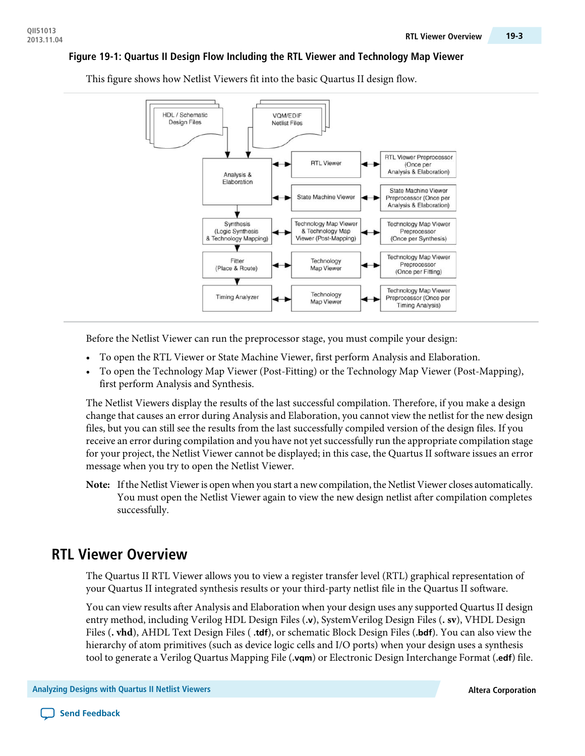#### **Figure 19-1: Quartus II Design Flow Including the RTL Viewer and Technology Map Viewer**



This figure shows how Netlist Viewers fit into the basic Quartus II design flow.

Before the Netlist Viewer can run the preprocessor stage, you must compile your design:

- To open the RTL Viewer or State Machine Viewer, first perform Analysis and Elaboration.
- To open the Technology Map Viewer (Post-Fitting) or the Technology Map Viewer (Post-Mapping), first perform Analysis and Synthesis.

The Netlist Viewers display the results of the last successful compilation. Therefore, if you make a design change that causes an error during Analysis and Elaboration, you cannot view the netlist for the new design files, but you can still see the results from the last successfully compiled version of the design files. If you receive an error during compilation and you have not yet successfully run the appropriate compilation stage for your project, the Netlist Viewer cannot be displayed; in this case, the Quartus II software issues an error message when you try to open the Netlist Viewer.

<span id="page-2-0"></span>Note: If the Netlist Viewer is open when you start a new compilation, the Netlist Viewer closes automatically. You must open the Netlist Viewer again to view the new design netlist after compilation completes successfully.

### **RTL Viewer Overview**

The Quartus II RTL Viewer allows you to view a register transfer level (RTL) graphical representation of your Quartus II integrated synthesis results or your third-party netlist file in the Quartus II software.

You can view results after Analysis and Elaboration when your design uses any supported Quartus II design entry method, including Verilog HDL Design Files (**.v**), SystemVerilog Design Files (**. sv**), VHDL Design Files (**. vhd**), AHDL Text Design Files ( **.tdf**), or schematic Block Design Files (**.bdf**). You can also view the hierarchy of atom primitives (such as device logic cells and I/O ports) when your design uses a synthesis tool to generate a Verilog Quartus Mapping File (**.vqm**) or Electronic Design Interchange Format (**.edf**) file.

**Analyzing Designs with Quartus II Netlist Viewers Altera Corporation**

**Send [Feedback](mailto:TechDocFeedback@altera.com?subject=Feedback%20on%20Analyzing%20Designs%20with%20Quartus%C2%A0II%20Netlist%20Viewers%20(QII51013%202013.11.04)&body=We%20appreciate%20your%20feedback.%20In%20your%20comments,%20also%20specify%20the%20page%20number%20or%20paragraph.%20Thank%20you.)**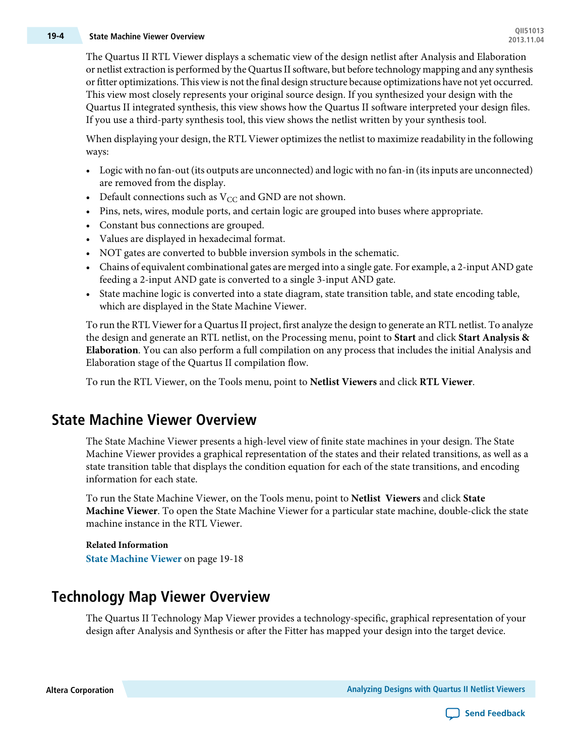# **QII51013 19-4 State Machine Viewer Overview 2013.11.04**

The Quartus II RTL Viewer displays a schematic view of the design netlist after Analysis and Elaboration or netlist extraction is performed by the Quartus II software, but before technology mapping and any synthesis orfitter optimizations. This viewis not the final design structure because optimizations have not yet occurred. This view most closely represents your original source design. If you synthesized your design with the Quartus II integrated synthesis, this view shows how the Quartus II software interpreted your design files. If you use a third-party synthesis tool, this view shows the netlist written by your synthesis tool.

When displaying your design, the RTL Viewer optimizes the netlist to maximize readability in the following ways:

- Logic with no fan-out (its outputs are unconnected) and logic with no fan-in (its inputs are unconnected) are removed from the display.
- Default connections such as  $V_{CC}$  and GND are not shown.
- Pins, nets, wires, module ports, and certain logic are grouped into buses where appropriate.
- Constant bus connections are grouped.
- Values are displayed in hexadecimal format.
- NOT gates are converted to bubble inversion symbols in the schematic.
- Chains of equivalent combinational gates are merged into a single gate. For example, a 2-input AND gate feeding a 2-input AND gate is converted to a single 3-input AND gate.
- State machine logic is converted into a state diagram, state transition table, and state encoding table, which are displayed in the State Machine Viewer.

To run the RTL Viewer for a Quartus II project, first analyze the design to generate an RTL netlist. To analyze the design and generate an RTL netlist, on the Processing menu, point to **Start** and click **Start Analysis & Elaboration**. You can also perform a full compilation on any process that includes the initial Analysis and Elaboration stage of the Quartus II compilation flow.

<span id="page-3-0"></span>To run the RTL Viewer, on the Tools menu, point to **Netlist Viewers** and click **RTL Viewer**.

# **State Machine Viewer Overview**

The State Machine Viewer presents a high-level view of finite state machines in your design. The State Machine Viewer provides a graphical representation of the states and their related transitions, as well as a state transition table that displays the condition equation for each of the state transitions, and encoding information for each state.

To run the State Machine Viewer, on the Tools menu, point to **Netlist Viewers** and click **State Machine Viewer**. To open the State Machine Viewer for a particular state machine, double-click the state machine instance in the RTL Viewer.

<span id="page-3-1"></span>**Related Information State [Machine](#page-17-0) Viewer** on page 19-18

# **Technology Map Viewer Overview**

The Quartus II Technology Map Viewer provides a technology-specific, graphical representation of your design after Analysis and Synthesis or after the Fitter has mapped your design into the target device.

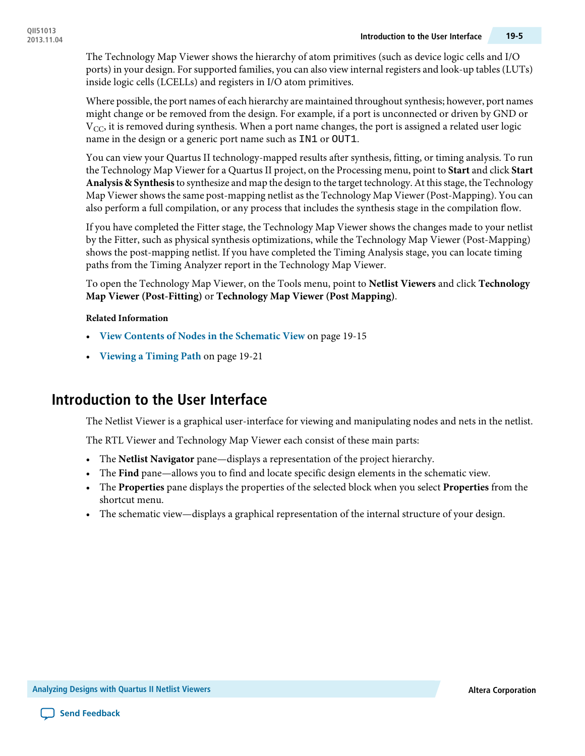The Technology Map Viewer shows the hierarchy of atom primitives (such as device logic cells and I/O ports) in your design. For supported families, you can also view internal registers and look-up tables (LUTs) inside logic cells (LCELLs) and registers in I/O atom primitives.

Where possible, the port names of each hierarchy are maintained throughout synthesis; however, port names might change or be removed from the design. For example, if a port is unconnected or driven by GND or  $V_{CC}$ , it is removed during synthesis. When a port name changes, the port is assigned a related user logic name in the design or a generic port name such as IN1 or OUT1.

You can view your Quartus II technology-mapped results after synthesis, fitting, or timing analysis. To run the Technology Map Viewer for a Quartus II project, on the Processing menu, point to **Start** and click **Start Analysis & Synthesis**to synthesize and map the design to the target technology.At thisstage, the Technology Map Viewer shows the same post-mapping netlist as the Technology Map Viewer (Post-Mapping). You can also perform a full compilation, or any process that includes the synthesis stage in the compilation flow.

If you have completed the Fitter stage, the Technology Map Viewer shows the changes made to your netlist by the Fitter, such as physical synthesis optimizations, while the Technology Map Viewer (Post-Mapping) shows the post-mapping netlist. If you have completed the Timing Analysis stage, you can locate timing paths from the Timing Analyzer report in the Technology Map Viewer.

To open the Technology Map Viewer, on the Tools menu, point to **Netlist Viewers** and click **Technology Map Viewer (Post-Fitting)** or **Technology Map Viewer (Post Mapping)**.

#### **Related Information**

- **View Contents of Nodes in the [Schematic](#page-14-0) View** on page 19-15
- <span id="page-4-0"></span>• **[Viewing](#page-20-0) a Timing Path** on page 19-21

# **Introduction to the User Interface**

The Netlist Viewer is a graphical user-interface for viewing and manipulating nodes and nets in the netlist.

The RTL Viewer and Technology Map Viewer each consist of these main parts:

- The **Netlist Navigator** pane—displays a representation of the project hierarchy.
- The **Find** pane—allows you to find and locate specific design elements in the schematic view.
- The **Properties** pane displays the properties of the selected block when you select **Properties** from the shortcut menu.
- The schematic view—displays a graphical representation of the internal structure of your design.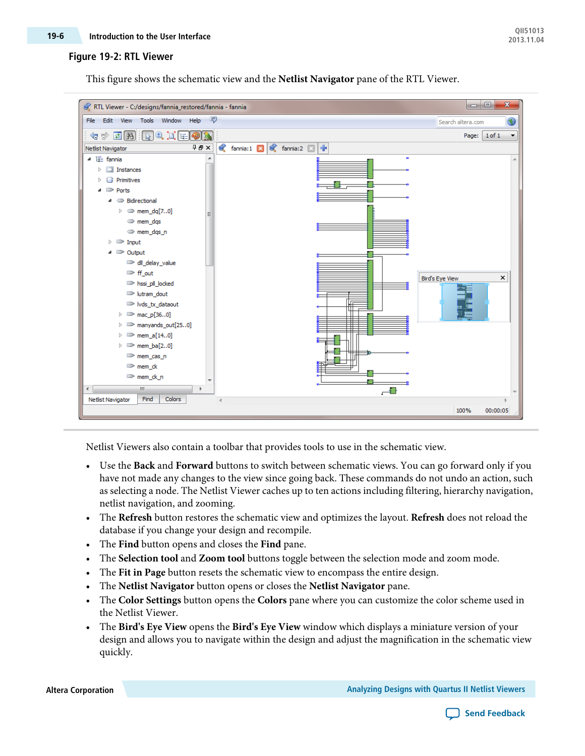#### **Figure 19-2: RTL Viewer**

This figure shows the schematic view and the **Netlist Navigator** pane of the RTL Viewer.



Netlist Viewers also contain a toolbar that provides tools to use in the schematic view.

- Use the **Back** and **Forward** buttons to switch between schematic views. You can go forward only if you have not made any changes to the view since going back. These commands do not undo an action, such as selecting a node. The Netlist Viewer caches up to ten actions including filtering, hierarchy navigation, netlist navigation, and zooming.
- The **Refresh** button restores the schematic view and optimizes the layout. **Refresh** does not reload the database if you change your design and recompile.
- The **Find** button opens and closes the **Find** pane.
- The **Selection tool** and **Zoom tool** buttons toggle between the selection mode and zoom mode.
- The **Fit in Page** button resets the schematic view to encompass the entire design.
- The **Netlist Navigator** button opens or closes the **Netlist Navigator** pane.
- The **Color Settings** button opens the **Colors** pane where you can customize the color scheme used in the Netlist Viewer.
- The **Bird's Eye View** opens the **Bird's Eye View** window which displays a miniature version of your design and allows you to navigate within the design and adjust the magnification in the schematic view quickly.

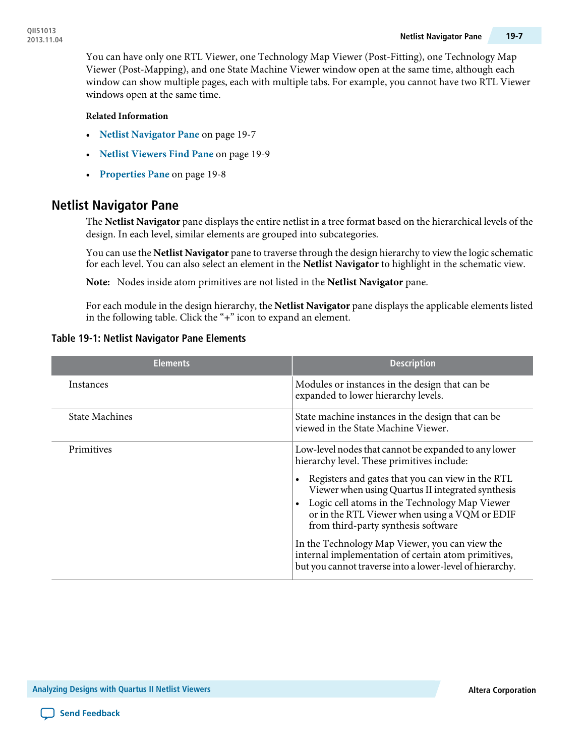You can have only one RTL Viewer, one Technology Map Viewer (Post-Fitting), one Technology Map Viewer (Post-Mapping), and one State Machine Viewer window open at the same time, although each window can show multiple pages, each with multiple tabs. For example, you cannot have two RTL Viewer windows open at the same time.

#### **Related Information**

- **Netlist [Navigator](#page-6-0) Pane** on page 19-7
- **Netlist [Viewers](#page-8-0) Find Pane** on page 19-9
- **[Properties](#page-7-0) Pane** on page 19-8

### <span id="page-6-0"></span>**Netlist Navigator Pane**

The **Netlist Navigator** pane displays the entire netlist in a tree format based on the hierarchical levels of the design. In each level, similar elements are grouped into subcategories.

You can use the **Netlist Navigator** pane to traverse through the design hierarchy to view the logic schematic for each level. You can also select an element in the **Netlist Navigator** to highlight in the schematic view.

**Note:** Nodes inside atom primitives are not listed in the **Netlist Navigator** pane.

For each module in the design hierarchy, the **Netlist Navigator** pane displays the applicable elements listed in the following table. Click the "**+**" icon to expand an element.

| <b>Elements</b>       | <b>Description</b>                                                                                                                                                                                                                                          |
|-----------------------|-------------------------------------------------------------------------------------------------------------------------------------------------------------------------------------------------------------------------------------------------------------|
| Instances             | Modules or instances in the design that can be.<br>expanded to lower hierarchy levels.                                                                                                                                                                      |
| <b>State Machines</b> | State machine instances in the design that can be<br>viewed in the State Machine Viewer.                                                                                                                                                                    |
| Primitives            | Low-level nodes that cannot be expanded to any lower<br>hierarchy level. These primitives include:                                                                                                                                                          |
|                       | Registers and gates that you can view in the RTL<br>Viewer when using Quartus II integrated synthesis<br>Logic cell atoms in the Technology Map Viewer<br>$\bullet$<br>or in the RTL Viewer when using a VQM or EDIF<br>from third-party synthesis software |
|                       | In the Technology Map Viewer, you can view the<br>internal implementation of certain atom primitives,<br>but you cannot traverse into a lower-level of hierarchy.                                                                                           |

#### **Table 19-1: Netlist Navigator Pane Elements**

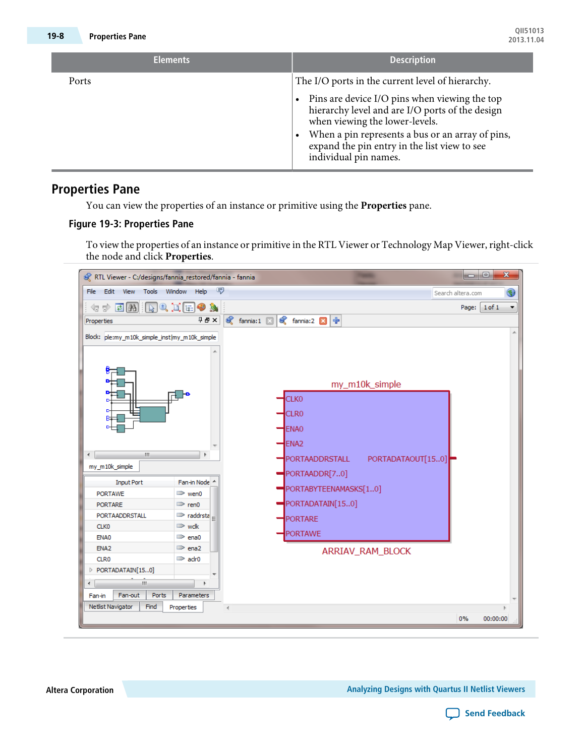| <b>Elements</b> | <b>Description</b>                                                                                                                                                                                                                                              |
|-----------------|-----------------------------------------------------------------------------------------------------------------------------------------------------------------------------------------------------------------------------------------------------------------|
| Ports           | The I/O ports in the current level of hierarchy.                                                                                                                                                                                                                |
|                 | Pins are device I/O pins when viewing the top<br>hierarchy level and are I/O ports of the design<br>when viewing the lower-levels.<br>When a pin represents a bus or an array of pins,<br>expand the pin entry in the list view to see<br>individual pin names. |

### <span id="page-7-0"></span>**Properties Pane**

You can view the properties of an instance or primitive using the **Properties** pane.

#### **Figure 19-3: Properties Pane**

To view the properties of an instance or primitive in the RTL Viewer or Technology Map Viewer, right-click the node and click **Properties**.



**Altera Corporation Analyzing Designs with Quartus II Netlist Viewers**

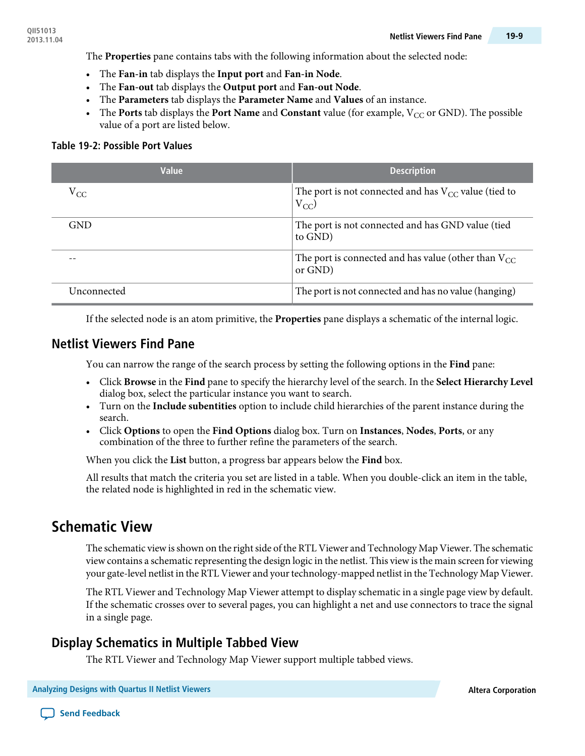- The **Fan-in** tab displays the **Input port** and **Fan-in Node**.
- The **Fan-out** tab displays the **Output port** and **Fan-out Node**.
- The **Parameters** tab displays the **Parameter Name** and **Values** of an instance.
- The **Ports** tab displays the **Port Name** and **Constant** value (for example,  $V_{CC}$  or GND). The possible value of a port are listed below.

#### **Table 19-2: Possible Port Values**

| Value       | <b>Description</b>                                                    |
|-------------|-----------------------------------------------------------------------|
| $V_{CC}$    | The port is not connected and has $V_{CC}$ value (tied to<br>$V_{CC}$ |
| <b>GND</b>  | The port is not connected and has GND value (tied<br>to GND)          |
|             | The port is connected and has value (other than $V_{CC}$<br>or GND)   |
| Unconnected | The port is not connected and has no value (hanging)                  |

If the selected node is an atom primitive, the **Properties** pane displays a schematic of the internal logic.

### <span id="page-8-0"></span>**Netlist Viewers Find Pane**

You can narrow the range of the search process by setting the following options in the **Find** pane:

- Click **Browse** in the **Find** pane to specify the hierarchy level of the search. In the **Select Hierarchy Level** dialog box, select the particular instance you want to search.
- Turn on the **Include subentities** option to include child hierarchies of the parent instance during the search.
- Click **Options** to open the **Find Options** dialog box. Turn on **Instances**, **Nodes**, **Ports**, or any combination of the three to further refine the parameters of the search.

When you click the **List** button, a progress bar appears below the **Find** box.

All results that match the criteria you set are listed in a table. When you double-click an item in the table, the related node is highlighted in red in the schematic view.

# **Schematic View**

The schematic view is shown on the right side of the RTL Viewer and Technology Map Viewer. The schematic view contains a schematic representing the design logic in the netlist. This view isthe main screen for viewing your gate-level netlist in the RTL Viewer and your technology-mapped netlist in the Technology Map Viewer.

The RTL Viewer and Technology Map Viewer attempt to display schematic in a single page view by default. If the schematic crosses over to several pages, you can highlight a net and use connectors to trace the signal in a single page.

### **Display Schematics in Multiple Tabbed View**

The RTL Viewer and Technology Map Viewer support multiple tabbed views.

**Analyzing Designs with Quartus II Netlist Viewers Altera Corporation**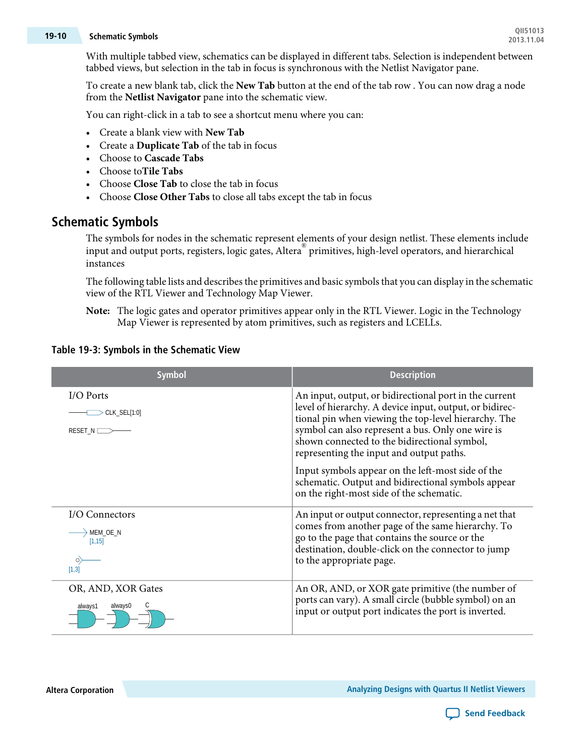# **QII51013 19-10 Schematic Symbols 2013.11.04**

With multiple tabbed view, schematics can be displayed in different tabs. Selection is independent between tabbed views, but selection in the tab in focus is synchronous with the Netlist Navigator pane.

To create a new blank tab, click the **New Tab** button at the end of the tab row . You can now drag a node from the **Netlist Navigator** pane into the schematic view.

You can right-click in a tab to see a shortcut menu where you can:

- Create a blank view with **New Tab**
- Create a **Duplicate Tab** of the tab in focus
- Choose to **Cascade Tabs**
- Choose to**Tile Tabs**
- Choose **Close Tab** to close the tab in focus
- Choose **Close Other Tabs** to close all tabs except the tab in focus

#### <span id="page-9-0"></span>**Schematic Symbols**

The symbols for nodes in the schematic represent elements of your design netlist. These elements include input and output ports, registers, logic gates, Altera® primitives, high-level operators, and hierarchical instances

The following table lists and describes the primitives and basic symbols that you can display in the schematic view of the RTL Viewer and Technology Map Viewer.

The logic gates and operator primitives appear only in the RTL Viewer. Logic in the Technology **Note:** Map Viewer is represented by atom primitives, such as registers and LCELLs.

| <b>Symbol</b>                        | <b>Description</b>                                                                                                                                                                                                                                                                                                                                                                                                                                                                |
|--------------------------------------|-----------------------------------------------------------------------------------------------------------------------------------------------------------------------------------------------------------------------------------------------------------------------------------------------------------------------------------------------------------------------------------------------------------------------------------------------------------------------------------|
| I/O Ports<br>CLK_SEL[1:0]<br>RESET_N | An input, output, or bidirectional port in the current<br>level of hierarchy. A device input, output, or bidirec-<br>tional pin when viewing the top-level hierarchy. The<br>symbol can also represent a bus. Only one wire is<br>shown connected to the bidirectional symbol,<br>representing the input and output paths.<br>Input symbols appear on the left-most side of the<br>schematic. Output and bidirectional symbols appear<br>on the right-most side of the schematic. |
| I/O Connectors                       | An input or output connector, representing a net that                                                                                                                                                                                                                                                                                                                                                                                                                             |
| MEM OE N                             | comes from another page of the same hierarchy. To                                                                                                                                                                                                                                                                                                                                                                                                                                 |
| [1, 15]                              | go to the page that contains the source or the                                                                                                                                                                                                                                                                                                                                                                                                                                    |
| O)                                   | destination, double-click on the connector to jump                                                                                                                                                                                                                                                                                                                                                                                                                                |
| [1,3]                                | to the appropriate page.                                                                                                                                                                                                                                                                                                                                                                                                                                                          |
| OR, AND, XOR Gates                   | An OR, AND, or XOR gate primitive (the number of                                                                                                                                                                                                                                                                                                                                                                                                                                  |
| always0                              | ports can vary). A small circle (bubble symbol) on an                                                                                                                                                                                                                                                                                                                                                                                                                             |
| always1                              | input or output port indicates the port is inverted.                                                                                                                                                                                                                                                                                                                                                                                                                              |

#### **Table 19-3: Symbols in the Schematic View**

**Altera Corporation Analyzing Designs with Quartus II Netlist Viewers**

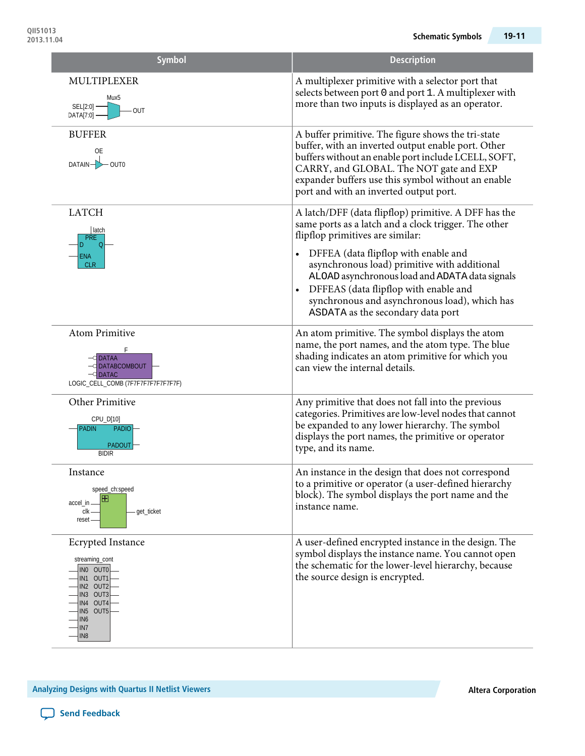| <b>Symbol</b>                                                                                                                                                               | <b>Description</b>                                                                                                                                                                                                                                                                                         |
|-----------------------------------------------------------------------------------------------------------------------------------------------------------------------------|------------------------------------------------------------------------------------------------------------------------------------------------------------------------------------------------------------------------------------------------------------------------------------------------------------|
| MULTIPLEXER<br>Mux5<br>SEL[2:0]<br>OUT<br>DATA[7:0]                                                                                                                         | A multiplexer primitive with a selector port that<br>selects between port 0 and port 1. A multiplexer with<br>more than two inputs is displayed as an operator.                                                                                                                                            |
| <b>BUFFER</b><br>0E<br>$DATAIN -$<br>$-$ OUT0                                                                                                                               | A buffer primitive. The figure shows the tri-state<br>buffer, with an inverted output enable port. Other<br>buffers without an enable port include LCELL, SOFT,<br>CARRY, and GLOBAL. The NOT gate and EXP<br>expander buffers use this symbol without an enable<br>port and with an inverted output port. |
| <b>LATCH</b><br>  latch<br><b>PRE</b><br>ENA                                                                                                                                | A latch/DFF (data flipflop) primitive. A DFF has the<br>same ports as a latch and a clock trigger. The other<br>flipflop primitives are similar:<br>DFFEA (data flipflop with enable and<br>$\bullet$                                                                                                      |
| <b>CLR</b>                                                                                                                                                                  | asynchronous load) primitive with additional<br>ALOAD asynchronous load and ADATA data signals<br>DFFEAS (data flipflop with enable and<br>$\bullet$<br>synchronous and asynchronous load), which has<br>ASDATA as the secondary data port                                                                 |
| <b>Atom Primitive</b><br><b>DATAA</b><br>O DATABCOMBOUT<br><b>DATAC</b><br>LOGIC_CELL_COMB (7F7F7F7F7F7F7F7F)                                                               | An atom primitive. The symbol displays the atom<br>name, the port names, and the atom type. The blue<br>shading indicates an atom primitive for which you<br>can view the internal details.                                                                                                                |
| Other Primitive<br>CPU_D[10]<br>PADIO <sup>-</sup><br><b>PADIN</b><br>PADOUT<br><b>BIDIR</b>                                                                                | Any primitive that does not fall into the previous<br>categories. Primitives are low-level nodes that cannot<br>be expanded to any lower hierarchy. The symbol<br>displays the port names, the primitive or operator<br>type, and its name.                                                                |
| Instance<br>speed_ch:speed<br>H<br>accel_in -<br>clk -<br>get_ticket<br>reset                                                                                               | An instance in the design that does not correspond<br>to a primitive or operator (a user-defined hierarchy<br>block). The symbol displays the port name and the<br>instance name.                                                                                                                          |
| <b>Ecrypted Instance</b><br>streaming_cont<br>INO OUTO<br>IN1 OUT1<br>IN2 OUT2<br>IN3 OUT3<br>IN4 OUT4<br>IN5 OUT5<br>IN <sub>6</sub><br>IN <sub>7</sub><br>IN <sub>8</sub> | A user-defined encrypted instance in the design. The<br>symbol displays the instance name. You cannot open<br>the schematic for the lower-level hierarchy, because<br>the source design is encrypted.                                                                                                      |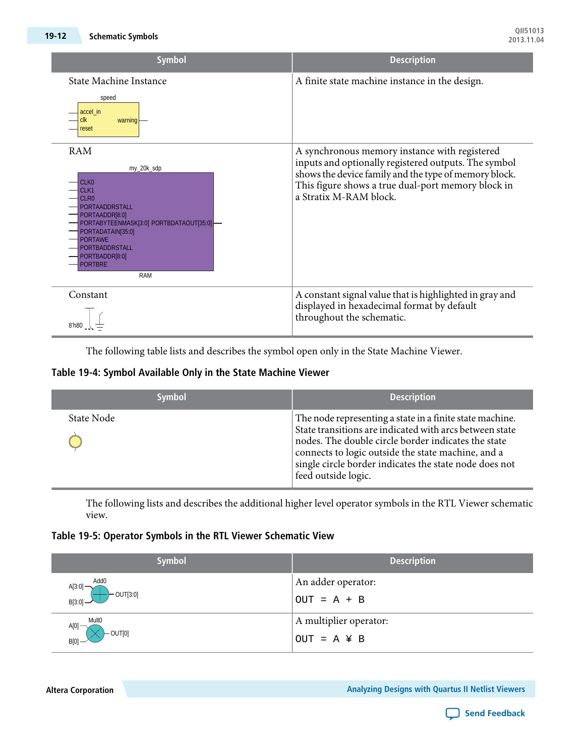| <b>Symbol</b>                                                                                                                                                                                                                                                             | <b>Description</b>                                                                                                                                                                                                                             |
|---------------------------------------------------------------------------------------------------------------------------------------------------------------------------------------------------------------------------------------------------------------------------|------------------------------------------------------------------------------------------------------------------------------------------------------------------------------------------------------------------------------------------------|
| <b>State Machine Instance</b><br>speed<br>accel in<br>warning<br>clk<br>reset                                                                                                                                                                                             | A finite state machine instance in the design.                                                                                                                                                                                                 |
| <b>RAM</b><br>my_20k_sdp<br>CLK <sub>0</sub><br>CLK1<br>CLR <sub>0</sub><br>PORTAADDRSTALL<br>PORTAADDR[8:0]<br>PORTABYTEENMASK[3:0] PORTBDATAOUT[35:0]<br>PORTADATAIN[35:0]<br><b>PORTAWE</b><br><b>PORTBADDRSTALL</b><br>PORTBADDR[8:0]<br><b>PORTBRE</b><br><b>RAM</b> | A synchronous memory instance with registered<br>inputs and optionally registered outputs. The symbol<br>shows the device family and the type of memory block.<br>This figure shows a true dual-port memory block in<br>a Stratix M-RAM block. |
| Constant<br>8'h80                                                                                                                                                                                                                                                         | A constant signal value that is highlighted in gray and<br>displayed in hexadecimal format by default<br>throughout the schematic.                                                                                                             |

The following table lists and describes the symbol open only in the State Machine Viewer.

#### **Table 19-4: Symbol Available Only in the State Machine Viewer**

| <b>Symbol</b> | <b>Description</b>                                                                                                                                                                                                                                                                                                |
|---------------|-------------------------------------------------------------------------------------------------------------------------------------------------------------------------------------------------------------------------------------------------------------------------------------------------------------------|
| State Node    | The node representing a state in a finite state machine.<br>State transitions are indicated with arcs between state<br>nodes. The double circle border indicates the state<br>connects to logic outside the state machine, and a<br>single circle border indicates the state node does not<br>feed outside logic. |

The following lists and describes the additional higher level operator symbols in the RTL Viewer schematic view.

#### **Table 19-5: Operator Symbols in the RTL Viewer Schematic View**

| <b>Symbol</b>                                                 | <b>Description</b>                         |
|---------------------------------------------------------------|--------------------------------------------|
| Add <sub>0</sub><br>$A[3:0]$ —<br>$B[3:0]$ OUT[3:0]           | An adder operator:<br>$OUT = A + B$        |
| <b>Mult0</b><br>A[0]<br>$\vdash$ OUT[0]<br>$\mathbb{B}^{[0]}$ | A multiplier operator:<br>$OUT = A \n Y B$ |

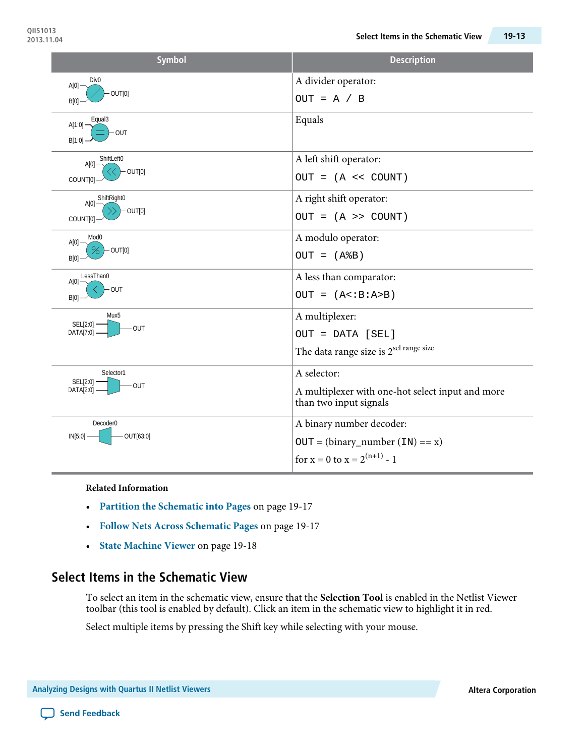| <b>Symbol</b>                                         | <b>Description</b>                                                                                  |
|-------------------------------------------------------|-----------------------------------------------------------------------------------------------------|
| Div <sub>0</sub><br>$A[0]$ -<br>OUT[0]<br>B[0]        | A divider operator:<br>$OUT = A / B$                                                                |
| Equal3<br>$A[1:0]$ -<br>OUT<br>B[1:0]                 | Equals                                                                                              |
| ShiftLeft0<br>A[0]<br>$-$ OUT[0]<br>COUNT[0]          | A left shift operator:<br>$OUT = (A << COUNT)$                                                      |
| A[0] ShiftRight0<br>$-$ OUT[0]<br>COUNT[0]            | A right shift operator:<br>$OUT = (A \gt\gt\text{COUNT})$                                           |
| Mod <sub>0</sub><br>$A[0]$ -<br>$-$ OUT[0]<br>B[0]    | A modulo operator:<br>$OUT = (A&B)$                                                                 |
| LessThan0<br>A[0]<br><b>OUT</b><br>B[0]               | A less than comparator:<br>$OUT = (A < B : A > B)$                                                  |
| Mux <sub>5</sub><br>SEL[2:0] -<br>OUT-<br>DATA[7:0] - | A multiplexer:<br>OUT = DATA [SEL]<br>The data range size is 2 <sup>sel range size</sup>            |
| Selector1<br>SEL[2:0]<br>OUT<br>DATA[2:0] -           | A selector:<br>A multiplexer with one-hot select input and more<br>than two input signals           |
| Decoder <sub>0</sub><br>OUT[63:0]<br>$IN[5:0]$ –      | A binary number decoder:<br>$OUT = (binary_number (IN) == x)$<br>for $x = 0$ to $x = 2^{(n+1)} - 1$ |

**Related Information**

- **Partition the [Schematic](#page-16-0) into Pages** on page 19-17
- **Follow Nets Across [Schematic](#page-16-1) Pages** on page 19-17
- **State [Machine](#page-17-0) Viewer** on page 19-18

### **Select Items in the Schematic View**

To select an item in the schematic view, ensure that the **Selection Tool** is enabled in the Netlist Viewer toolbar (this tool is enabled by default). Click an item in the schematic view to highlight it in red.

Select multiple items by pressing the Shift key while selecting with your mouse.

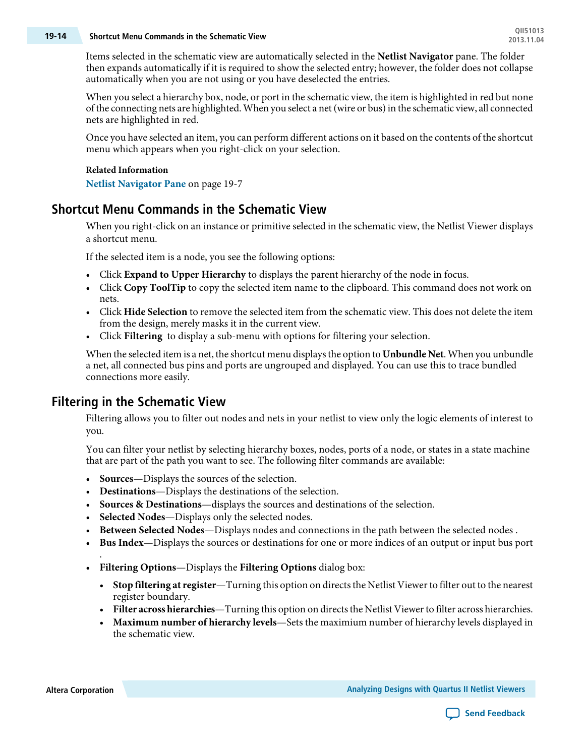# **QII51013 19-14 Shortcut Menu Commands in the Schematic View 2013.11.04**

Items selected in the schematic view are automatically selected in the **Netlist Navigator** pane. The folder then expands automatically if it is required to show the selected entry; however, the folder does not collapse automatically when you are not using or you have deselected the entries.

When you select a hierarchy box, node, or port in the schematic view, the item is highlighted in red but none of the connecting nets are highlighted. When you select a net(wire or bus)in the schematic view, all connected nets are highlighted in red.

Once you have selected an item, you can perform different actions on it based on the contents of the shortcut menu which appears when you right-click on your selection.

#### **Related Information**

**Netlist [Navigator](#page-6-0) Pane** on page 19-7

### **Shortcut Menu Commands in the Schematic View**

When you right-click on an instance or primitive selected in the schematic view, the Netlist Viewer displays a shortcut menu.

If the selected item is a node, you see the following options:

- Click **Expand to Upper Hierarchy** to displays the parent hierarchy of the node in focus.
- Click **Copy ToolTip** to copy the selected item name to the clipboard. This command does not work on nets.
- Click **Hide Selection** to remove the selected item from the schematic view. This does not delete the item from the design, merely masks it in the current view.
- Click **Filtering** to display a sub-menu with options for filtering your selection.

<span id="page-13-0"></span>When the selected item is a net, the shortcut menu displaysthe option to **Unbundle Net**. When you unbundle a net, all connected bus pins and ports are ungrouped and displayed. You can use this to trace bundled connections more easily.

### **Filtering in the Schematic View**

Filtering allows you to filter out nodes and nets in your netlist to view only the logic elements of interest to you.

You can filter your netlist by selecting hierarchy boxes, nodes, ports of a node, or states in a state machine that are part of the path you want to see. The following filter commands are available:

- **Sources**—Displays the sources of the selection.
- **Destinations**—Displays the destinations of the selection.
- **Sources & Destinations**—displays the sources and destinations of the selection.
- **Selected Nodes**—Displays only the selected nodes.
- **Between Selected Nodes**—Displays nodes and connections in the path between the selected nodes .
- **Bus Index**—Displays the sources or destinations for one or more indices of an output or input bus port
- **Filtering Options**—Displays the **Filtering Options** dialog box:
	- **Stop filtering at register**—Turning this option on directs the Netlist Viewer to filter out to the nearest register boundary.
	- Filter **across hierarchies**—Turning this option on directs the Netlist Viewer to filter across hierarchies.
	- **Maximum number of hierarchy levels**—Sets the maximium number of hierarchy levels displayed in the schematic view.

.

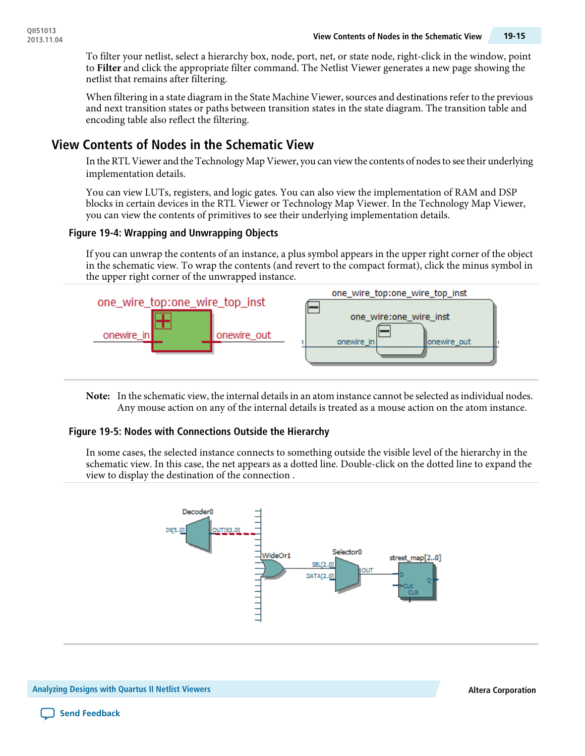To filter your netlist, select a hierarchy box, node, port, net, or state node, right-click in the window, point to **Filter** and click the appropriate filter command. The Netlist Viewer generates a new page showing the netlist that remains after filtering.

When filtering in a state diagram in the State Machine Viewer, sources and destinations refer to the previous and next transition states or paths between transition states in the state diagram. The transition table and encoding table also reflect the filtering.

### <span id="page-14-0"></span>**View Contents of Nodes in the Schematic View**

In the RTL Viewer and the Technology Map Viewer, you can viewthe contents of nodesto see their underlying implementation details.

You can view LUTs, registers, and logic gates. You can also view the implementation of RAM and DSP blocks in certain devices in the RTL Viewer or Technology Map Viewer. In the Technology Map Viewer, you can view the contents of primitives to see their underlying implementation details.

#### **Figure 19-4: Wrapping and Unwrapping Objects**

If you can unwrap the contents of an instance, a plus symbol appears in the upper right corner of the object in the schematic view. To wrap the contents (and revert to the compact format), click the minus symbol in the upper right corner of the unwrapped instance.



Note: In the schematic view, the internal details in an atom instance cannot be selected as individual nodes. Any mouse action on any of the internal details is treated as a mouse action on the atom instance.

#### **Figure 19-5: Nodes with Connections Outside the Hierarchy**

In some cases, the selected instance connects to something outside the visible level of the hierarchy in the schematic view. In this case, the net appears as a dotted line. Double-click on the dotted line to expand the view to display the destination of the connection .

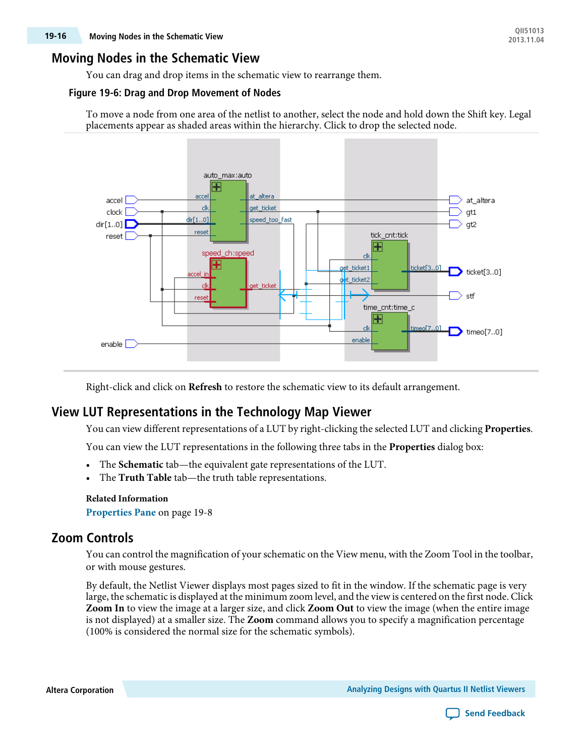### **Moving Nodes in the Schematic View**

You can drag and drop items in the schematic view to rearrange them.

#### **Figure 19-6: Drag and Drop Movement of Nodes**

To move a node from one area of the netlist to another, select the node and hold down the Shift key. Legal placements appear as shaded areas within the hierarchy. Click to drop the selected node.



Right-click and click on **Refresh** to restore the schematic view to its default arrangement.

### **View LUT Representations in the Technology Map Viewer**

You can view different representations of a LUT by right-clicking the selected LUT and clicking **Properties**.

You can view the LUT representations in the following three tabs in the **Properties** dialog box:

- The **Schematic** tab—the equivalent gate representations of the LUT.
- The **Truth Table** tab—the truth table representations.

#### **Related Information**

**[Properties](#page-7-0) Pane** on page 19-8

### **Zoom Controls**

You can control the magnification of your schematic on the View menu, with the Zoom Tool in the toolbar, or with mouse gestures.

By default, the Netlist Viewer displays most pages sized to fit in the window. If the schematic page is very large, the schematic is displayed at the minimum zoom level, and the view is centered on the first node. Click **Zoom In** to view the image at a larger size, and click **Zoom Out** to view the image (when the entire image is not displayed) at a smaller size. The **Zoom** command allows you to specify a magnification percentage (100% is considered the normal size for the schematic symbols).

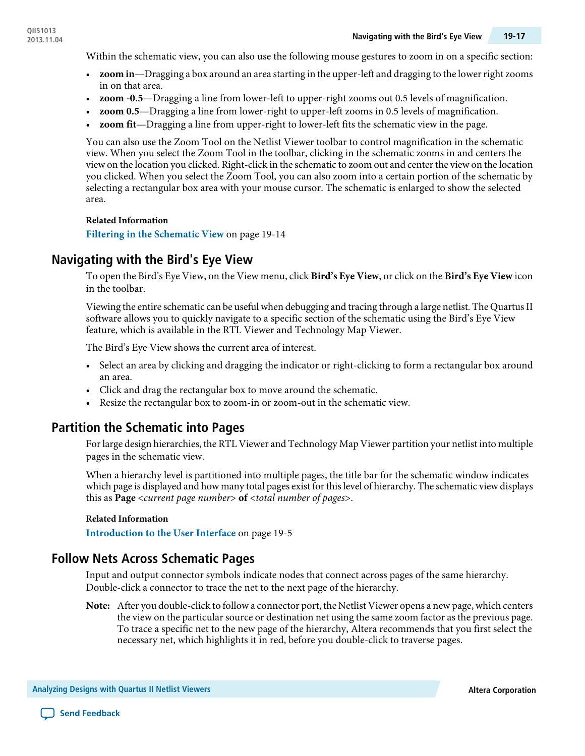Within the schematic view, you can also use the following mouse gestures to zoom in on a specific section:

- **zoom in**—Dragging a box around an area starting in the upper-left and dragging to the lower right zooms in on that area.
- **zoom -0.5**—Dragging a line from lower-left to upper-right zooms out 0.5 levels of magnification.
- **zoom 0.5**—Dragging a line from lower-right to upper-left zooms in 0.5 levels of magnification.
- **zoom fit**—Dragging a line from upper-right to lower-left fits the schematic view in the page.

You can also use the Zoom Tool on the Netlist Viewer toolbar to control magnification in the schematic view. When you select the Zoom Tool in the toolbar, clicking in the schematic zooms in and centers the viewon the location you clicked. Right-click in the schematic to zoom out and centerthe viewon the location you clicked. When you select the Zoom Tool, you can also zoom into a certain portion of the schematic by selecting a rectangular box area with your mouse cursor. The schematic is enlarged to show the selected area.

#### **Related Information**

**Filtering in the [Schematic](#page-13-0) View** on page 19-14

### **Navigating with the Bird's Eye View**

To open the Bird's Eye View, on the View menu, click **Bird's Eye View**, or click on the **Bird's Eye View** icon in the toolbar.

Viewing the entire schematic can be useful when debugging and tracing through a large netlist. The Quartus II software allows you to quickly navigate to a specific section of the schematic using the Bird's Eye View feature, which is available in the RTL Viewer and Technology Map Viewer.

The Bird's Eye View shows the current area of interest.

- Select an area by clicking and dragging the indicator or right-clicking to form a rectangular box around an area.
- <span id="page-16-0"></span>• Click and drag the rectangular box to move around the schematic.
- Resize the rectangular box to zoom-in or zoom-out in the schematic view.

### **Partition the Schematic into Pages**

Forlarge design hierarchies, the RTL Viewer and Technology Map Viewer partition your netlist into multiple pages in the schematic view.

When a hierarchy level is partitioned into multiple pages, the title bar for the schematic window indicates which page is displayed and how many total pages exist for this level of hierarchy. The schematic view displays this as **Page** <current page number> **of** <total number of pages>.

#### <span id="page-16-1"></span>**Related Information**

**[Introduction](#page-4-0) to the User Interface** on page 19-5

### **Follow Nets Across Schematic Pages**

Input and output connector symbols indicate nodes that connect across pages of the same hierarchy. Double-click a connector to trace the net to the next page of the hierarchy.

After you double-click to followa connector port, the Netlist Viewer opens a newpage,which centers **Note:** the view on the particular source or destination net using the same zoom factor as the previous page. To trace a specific net to the new page of the hierarchy, Altera recommends that you first select the necessary net, which highlights it in red, before you double-click to traverse pages.

```
Analyzing Designs with Quartus II Netlist Viewers Altera Corporation
```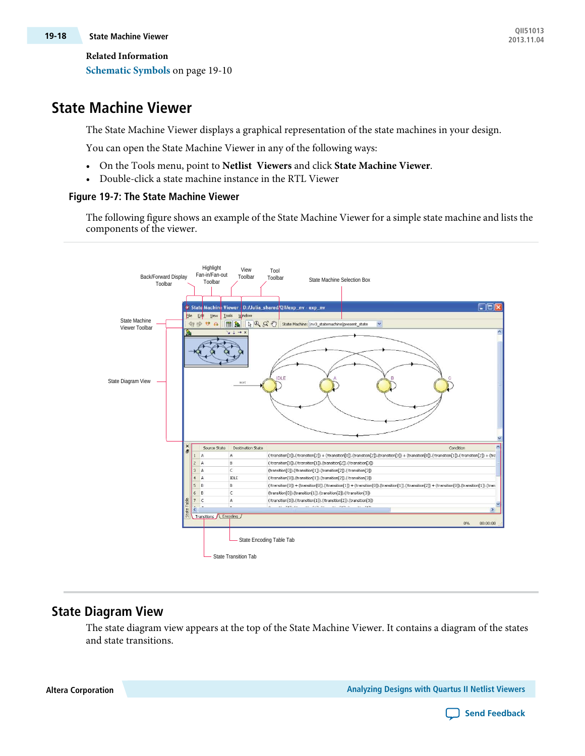# **QII51013 19-18 State Machine Viewer 2013.11.04**

**Related Information**

**[Schematic](#page-9-0) Symbols** on page 19-10

# <span id="page-17-0"></span>**State Machine Viewer**

The State Machine Viewer displays a graphical representation of the state machines in your design.

You can open the State Machine Viewer in any of the following ways:

- On the Tools menu, point to **Netlist Viewers** and click **State Machine Viewer**.
- Double-click a state machine instance in the RTL Viewer

### **Figure 19-7: The State Machine Viewer**

The following figure shows an example of the State Machine Viewer for a simple state machine and lists the components of the viewer.



# **State Diagram View**

The state diagram view appears at the top of the State Machine Viewer. It contains a diagram of the states and state transitions.

**Altera Corporation Analyzing Designs with Quartus II Netlist Viewers**

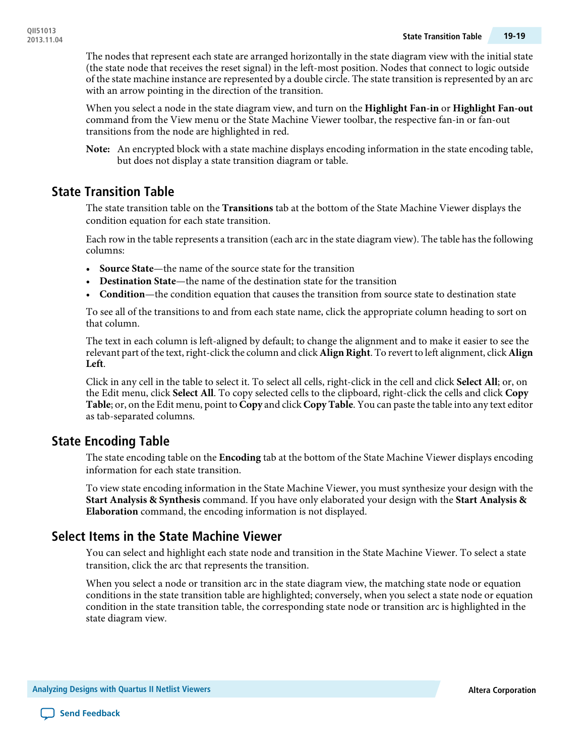The nodes that represent each state are arranged horizontally in the state diagram view with the initial state (the state node that receives the reset signal) in the left-most position. Nodes that connect to logic outside of the state machine instance are represented by a double circle. The state transition is represented by an arc with an arrow pointing in the direction of the transition.

When you select a node in the state diagram view, and turn on the **Highlight Fan-in** or **Highlight Fan-out** command from the View menu or the State Machine Viewer toolbar, the respective fan-in or fan-out transitions from the node are highlighted in red.

An encrypted block with a state machine displays encoding information in the state encoding table, **Note:** but does not display a state transition diagram or table.

### **State Transition Table**

The state transition table on the **Transitions** tab at the bottom of the State Machine Viewer displays the condition equation for each state transition.

Each row in the table represents a transition (each arc in the state diagram view). The table has the following columns:

- **Source State**—the name of the source state for the transition
- **Destination State**—the name of the destination state for the transition
- **Condition**—the condition equation that causes the transition from source state to destination state

To see all of the transitions to and from each state name, click the appropriate column heading to sort on that column.

The text in each column is left-aligned by default; to change the alignment and to make it easier to see the relevant part of the text, right-click the column and click **Align Right**. To revert to left alignment, click **Align Left**.

Click in any cell in the table to select it. To select all cells, right-click in the cell and click **Select All**; or, on the Edit menu, click **Select All**. To copy selected cells to the clipboard, right-click the cells and click **Copy Table**; or, on the Edit menu, point to **Copy** and click **Copy Table**. You can paste the table into any text editor as tab-separated columns.

### **State Encoding Table**

The state encoding table on the **Encoding** tab at the bottom of the State Machine Viewer displays encoding information for each state transition.

To view state encoding information in the State Machine Viewer, you must synthesize your design with the **Start Analysis & Synthesis** command. If you have only elaborated your design with the **Start Analysis & Elaboration** command, the encoding information is not displayed.

### **Select Items in the State Machine Viewer**

You can select and highlight each state node and transition in the State Machine Viewer. To select a state transition, click the arc that represents the transition.

When you select a node or transition arc in the state diagram view, the matching state node or equation conditions in the state transition table are highlighted; conversely, when you select a state node or equation condition in the state transition table, the corresponding state node or transition arc is highlighted in the state diagram view.

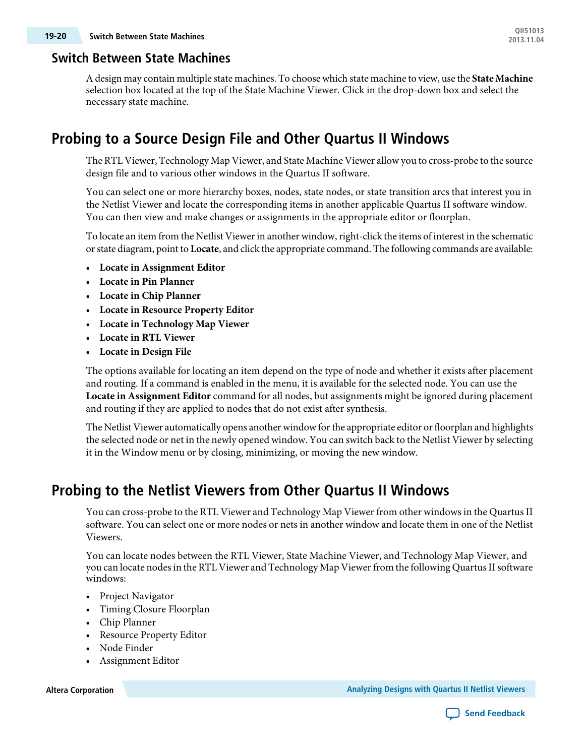### **Switch Between State Machines**

Adesign may contain multiple state machines. To choosewhich state machine to view, use the **State Machine** selection box located at the top of the State Machine Viewer. Click in the drop-down box and select the necessary state machine.

# <span id="page-19-0"></span>**Probing to a Source Design File and Other Quartus II Windows**

The RTL Viewer, Technology Map Viewer, and State Machine Viewer allowyou to cross-probe to the source design file and to various other windows in the Quartus II software.

You can select one or more hierarchy boxes, nodes, state nodes, or state transition arcs that interest you in the Netlist Viewer and locate the corresponding items in another applicable Quartus II software window. You can then view and make changes or assignments in the appropriate editor or floorplan.

To locate an item from the Netlist Viewer in another window, right-click the items of interest in the schematic orstate diagram, point to **Locate**, and click the appropriate command. The following commands are available:

- **Locate in Assignment Editor**
- **Locate in Pin Planner**
- **Locate in Chip Planner**
- **Locate in Resource Property Editor**
- **Locate in Technology Map Viewer**
- **Locate in RTL Viewer**
- **Locate in Design File**

The options available for locating an item depend on the type of node and whether it exists after placement and routing. If a command is enabled in the menu, it is available for the selected node. You can use the **Locate in Assignment Editor** command for all nodes, but assignments might be ignored during placement and routing if they are applied to nodes that do not exist after synthesis.

The Netlist Viewer automatically opens another window for the appropriate editor or floorplan and highlights the selected node or net in the newly opened window. You can switch back to the Netlist Viewer by selecting it in the Window menu or by closing, minimizing, or moving the new window.

# **Probing to the Netlist Viewers from Other Quartus II Windows**

You can cross-probe to the RTL Viewer and Technology Map Viewer from other windows in the Quartus II software. You can select one or more nodes or nets in another window and locate them in one of the Netlist Viewers.

You can locate nodes between the RTL Viewer, State Machine Viewer, and Technology Map Viewer, and you can locate nodes in the RTL Viewer and Technology Map Viewer from the following Quartus II software windows:

- Project Navigator
- Timing Closure Floorplan
- Chip Planner
- Resource Property Editor
- Node Finder
- Assignment Editor

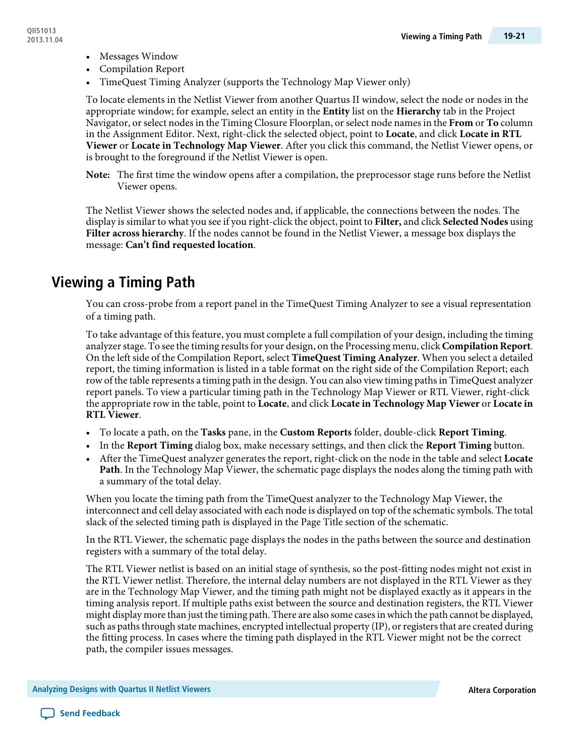- Messages Window
- Compilation Report
- TimeQuest Timing Analyzer (supports the Technology Map Viewer only)

To locate elements in the Netlist Viewer from another Quartus II window, select the node or nodes in the appropriate window; for example, select an entity in the **Entity** list on the **Hierarchy** tab in the Project Navigator, orselect nodesin the Timing Closure Floorplan, orselect node namesin the **From** or **To** column in the Assignment Editor. Next, right-click the selected object, point to **Locate**, and click **Locate in RTL Viewer** or **Locate in Technology Map Viewer**. After you click this command, the Netlist Viewer opens, or is brought to the foreground if the Netlist Viewer is open.

The first time the window opens after a compilation, the preprocessor stage runs before the Netlist **Note:** Viewer opens.

The Netlist Viewer shows the selected nodes and, if applicable, the connections between the nodes. The display is similar to what you see if you right-click the object, point to **Filter,** and click **Selected Nodes** using **Filter across hierarchy**. If the nodes cannot be found in the Netlist Viewer, a message box displays the message: **Can't find requested location**.

# <span id="page-20-0"></span>**Viewing a Timing Path**

You can cross-probe from a report panel in the TimeQuest Timing Analyzer to see a visual representation of a timing path.

To take advantage of this feature, you must complete a full compilation of your design, including the timing analyzer stage. To see the timing results for your design, on the Processing menu, click **Compilation Report**. On the left side of the Compilation Report, select **TimeQuest Timing Analyzer**. When you select a detailed report, the timing information is listed in a table format on the right side of the Compilation Report; each row of the table represents a timing path in the design. You can also view timing pathsin TimeQuest analyzer report panels. To view a particular timing path in the Technology Map Viewer or RTL Viewer, right-click the appropriate row in the table, point to **Locate**, and click **Locate in Technology Map Viewer** or **Locate in RTL Viewer**.

- To locate a path, on the **Tasks** pane, in the **Custom Reports** folder, double-click **Report Timing**.
- In the **Report Timing** dialog box, make necessary settings, and then click the **Report Timing** button.
- After the TimeQuest analyzer generates the report, right-click on the node in the table and select **Locate Path**. In the Technology Map Viewer, the schematic page displays the nodes along the timing path with a summary of the total delay.

When you locate the timing path from the TimeQuest analyzer to the Technology Map Viewer, the interconnect and cell delay associated with each node is displayed on top of the schematic symbols. The total slack of the selected timing path is displayed in the Page Title section of the schematic.

In the RTL Viewer, the schematic page displays the nodes in the paths between the source and destination registers with a summary of the total delay.

The RTL Viewer netlist is based on an initial stage of synthesis, so the post-fitting nodes might not exist in the RTL Viewer netlist. Therefore, the internal delay numbers are not displayed in the RTL Viewer as they are in the Technology Map Viewer, and the timing path might not be displayed exactly as it appears in the timing analysis report. If multiple paths exist between the source and destination registers, the RTL Viewer might display more than just the timing path. There are also some casesinwhich the path cannot be displayed, such as paths through state machines, encrypted intellectual property (IP), or registers that are created during the fitting process. In cases where the timing path displayed in the RTL Viewer might not be the correct path, the compiler issues messages.

**Analyzing Designs with Quartus II Netlist Viewers Altera Corporation**

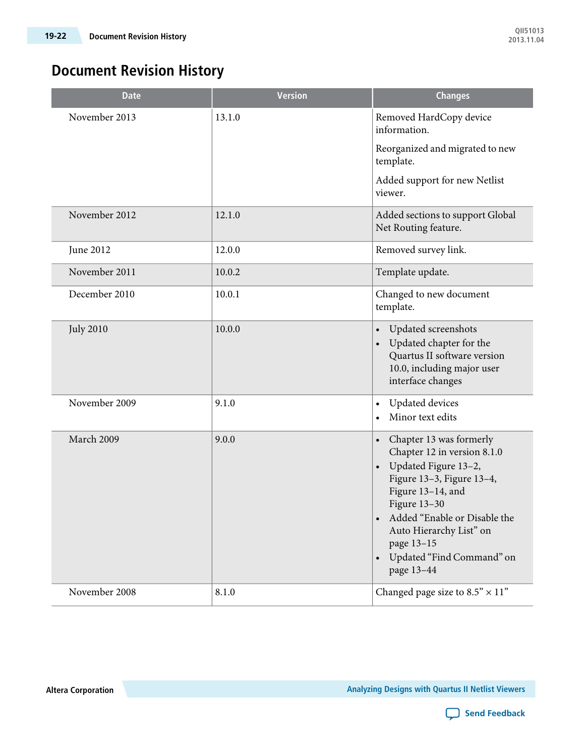# **Document Revision History**

| <b>Date</b>      | <b>Version</b> | <b>Changes</b>                                                                                                                                                                                                                                                                                                           |
|------------------|----------------|--------------------------------------------------------------------------------------------------------------------------------------------------------------------------------------------------------------------------------------------------------------------------------------------------------------------------|
| November 2013    | 13.1.0         | Removed HardCopy device<br>information.                                                                                                                                                                                                                                                                                  |
|                  |                | Reorganized and migrated to new<br>template.                                                                                                                                                                                                                                                                             |
|                  |                | Added support for new Netlist<br>viewer.                                                                                                                                                                                                                                                                                 |
| November 2012    | 12.1.0         | Added sections to support Global<br>Net Routing feature.                                                                                                                                                                                                                                                                 |
| June 2012        | 12.0.0         | Removed survey link.                                                                                                                                                                                                                                                                                                     |
| November 2011    | 10.0.2         | Template update.                                                                                                                                                                                                                                                                                                         |
| December 2010    | 10.0.1         | Changed to new document<br>template.                                                                                                                                                                                                                                                                                     |
| <b>July 2010</b> | 10.0.0         | Updated screenshots<br>$\bullet$<br>Updated chapter for the<br>$\bullet$<br>Quartus II software version<br>10.0, including major user<br>interface changes                                                                                                                                                               |
| November 2009    | 9.1.0          | <b>Updated</b> devices<br>$\bullet$<br>Minor text edits<br>$\bullet$                                                                                                                                                                                                                                                     |
| March 2009       | 9.0.0          | Chapter 13 was formerly<br>$\bullet$<br>Chapter 12 in version 8.1.0<br>Updated Figure 13-2,<br>$\bullet$<br>Figure 13-3, Figure 13-4,<br>Figure 13-14, and<br>Figure 13-30<br>Added "Enable or Disable the<br>$\bullet$<br>Auto Hierarchy List" on<br>page 13-15<br>Updated "Find Command" on<br>$\bullet$<br>page 13-44 |
| November 2008    | 8.1.0          | Changed page size to $8.5" \times 11"$                                                                                                                                                                                                                                                                                   |

**Altera Corporation Analyzing Designs with Quartus II Netlist Viewers**